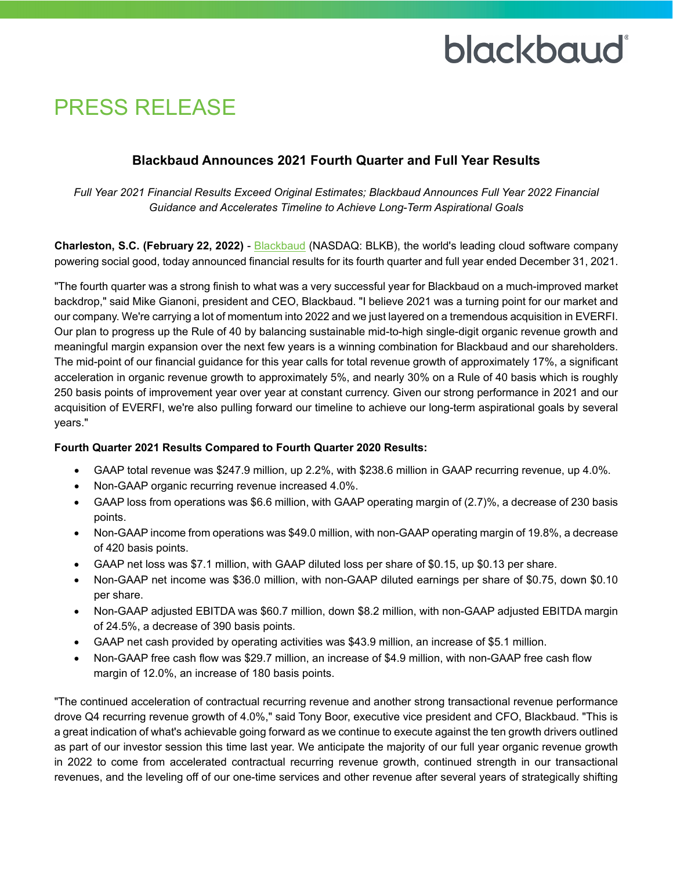### PRESS RELEASE

### **Blackbaud Announces 2021 Fourth Quarter and Full Year Results**

*Full Year 2021 Financial Results Exceed Original Estimates; Blackbaud Announces Full Year 2022 Financial Guidance and Accelerates Timeline to Achieve Long-Term Aspirational Goals* 

**Charleston, S.C. (February 22, 2022)** - [Blackbaud](http://www.blackbaud.com/) (NASDAQ: BLKB), the world's leading cloud software company powering social good, today announced financial results for its fourth quarter and full year ended December 31, 2021.

"The fourth quarter was a strong finish to what was a very successful year for Blackbaud on a much-improved market backdrop," said Mike Gianoni, president and CEO, Blackbaud. "I believe 2021 was a turning point for our market and our company. We're carrying a lot of momentum into 2022 and we just layered on a tremendous acquisition in EVERFI. Our plan to progress up the Rule of 40 by balancing sustainable mid-to-high single-digit organic revenue growth and meaningful margin expansion over the next few years is a winning combination for Blackbaud and our shareholders. The mid-point of our financial guidance for this year calls for total revenue growth of approximately 17%, a significant acceleration in organic revenue growth to approximately 5%, and nearly 30% on a Rule of 40 basis which is roughly 250 basis points of improvement year over year at constant currency. Given our strong performance in 2021 and our acquisition of EVERFI, we're also pulling forward our timeline to achieve our long-term aspirational goals by several years."

#### **Fourth Quarter 2021 Results Compared to Fourth Quarter 2020 Results:**

- GAAP total revenue was \$247.9 million, up 2.2%, with \$238.6 million in GAAP recurring revenue, up 4.0%.
- Non-GAAP organic recurring revenue increased 4.0%.
- GAAP loss from operations was \$6.6 million, with GAAP operating margin of (2.7)%, a decrease of 230 basis points.
- Non-GAAP income from operations was \$49.0 million, with non-GAAP operating margin of 19.8%, a decrease of 420 basis points.
- GAAP net loss was \$7.1 million, with GAAP diluted loss per share of \$0.15, up \$0.13 per share.
- Non-GAAP net income was \$36.0 million, with non-GAAP diluted earnings per share of \$0.75, down \$0.10 per share.
- Non-GAAP adjusted EBITDA was \$60.7 million, down \$8.2 million, with non-GAAP adjusted EBITDA margin of 24.5%, a decrease of 390 basis points.
- GAAP net cash provided by operating activities was \$43.9 million, an increase of \$5.1 million.
- Non-GAAP free cash flow was \$29.7 million, an increase of \$4.9 million, with non-GAAP free cash flow margin of 12.0%, an increase of 180 basis points.

"The continued acceleration of contractual recurring revenue and another strong transactional revenue performance drove Q4 recurring revenue growth of 4.0%," said Tony Boor, executive vice president and CFO, Blackbaud. "This is a great indication of what's achievable going forward as we continue to execute against the ten growth drivers outlined as part of our investor session this time last year. We anticipate the majority of our full year organic revenue growth in 2022 to come from accelerated contractual recurring revenue growth, continued strength in our transactional revenues, and the leveling off of our one-time services and other revenue after several years of strategically shifting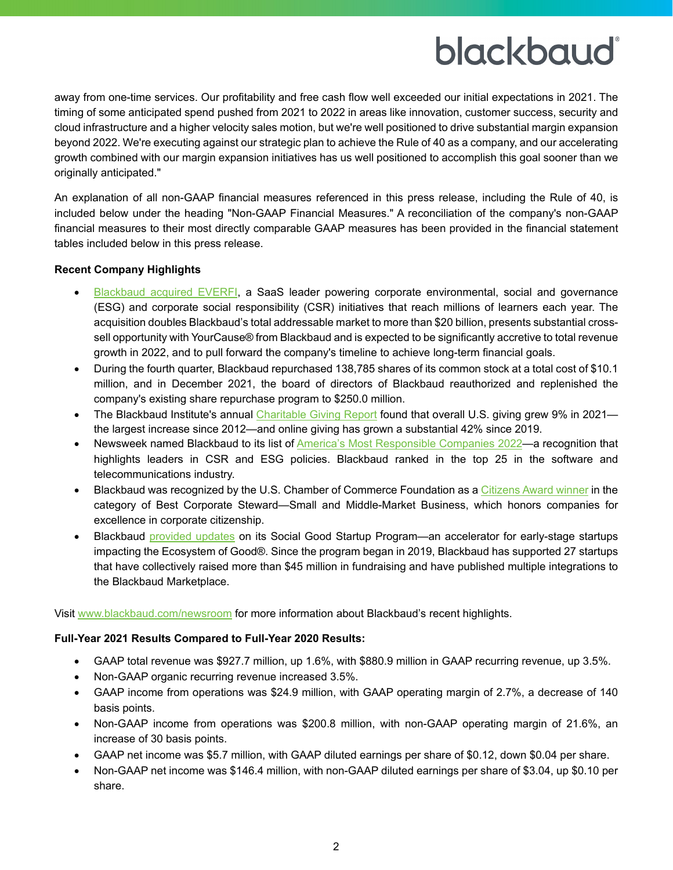away from one-time services. Our profitability and free cash flow well exceeded our initial expectations in 2021. The timing of some anticipated spend pushed from 2021 to 2022 in areas like innovation, customer success, security and cloud infrastructure and a higher velocity sales motion, but we're well positioned to drive substantial margin expansion beyond 2022. We're executing against our strategic plan to achieve the Rule of 40 as a company, and our accelerating growth combined with our margin expansion initiatives has us well positioned to accomplish this goal sooner than we originally anticipated."

An explanation of all non-GAAP financial measures referenced in this press release, including the Rule of 40, is included below under the heading "Non-GAAP Financial Measures." A reconciliation of the company's non-GAAP financial measures to their most directly comparable GAAP measures has been provided in the financial statement tables included below in this press release.

#### **Recent Company Highlights**

- [Blackbaud acquired EVERFI,](https://www.blackbaud.com/newsroom/article/2022/01/03/blackbaud-acquires-everfi-a-saas-leader-powering-corporate-esg-and-csr-initiatives-that-reach-millions-of-learners-each-year) a SaaS leader powering corporate environmental, social and governance (ESG) and corporate social responsibility (CSR) initiatives that reach millions of learners each year. The acquisition doubles Blackbaud's total addressable market to more than \$20 billion, presents substantial crosssell opportunity with YourCause® from Blackbaud and is expected to be significantly accretive to total revenue growth in 2022, and to pull forward the company's timeline to achieve long-term financial goals.
- During the fourth quarter, Blackbaud repurchased 138,785 shares of its common stock at a total cost of \$10.1 million, and in December 2021, the board of directors of Blackbaud reauthorized and replenished the company's existing share repurchase program to \$250.0 million.
- The Blackbaud Institute's annual [Charitable Giving Report](https://www.blackbaud.com/newsroom/article/2022/02/15/blackbaud-institute-2021-charitable-giving-report-reveals-record-year-for-generosity-with-9-growth-in-giving) found that overall U.S. giving grew 9% in 2021 the largest increase since 2012—and online giving has grown a substantial 42% since 2019.
- Newsweek named Blackbaud to its list of [America's Most Responsible Companies 2022—](https://www.blackbaud.com/newsroom/article/2021/12/07/blackbaud-named-one-of-america-s-most-responsible-companies-by-newsweek)a recognition that highlights leaders in CSR and ESG policies. Blackbaud ranked in the top 25 in the software and telecommunications industry.
- Blackbaud was recognized by the U.S. Chamber of Commerce Foundation as a [Citizens Award winner](https://www.blackbaud.com/newsroom/article/2021/11/19/blackbaud-recognized-for-excellence-in-corporate-citizenship-by-u-s-chamber-of-commerce-foundation) in the category of Best Corporate Steward—Small and Middle-Market Business, which honors companies for excellence in corporate citizenship.
- Blackbaud [provided updates](https://www.blackbaud.com/newsroom/article/2021/12/29/blackbaud-s-social-good-startup-program-brings-innovative-tech-solutions-to-mission-based-organizations) on its Social Good Startup Program—an accelerator for early-stage startups impacting the Ecosystem of Good®. Since the program began in 2019, Blackbaud has supported 27 startups that have collectively raised more than \$45 million in fundraising and have published multiple integrations to the Blackbaud Marketplace.

Visit [www.blackbaud.com/newsroom](https://www.blackbaud.com/newsroom) for more information about Blackbaud's recent highlights.

#### **Full-Year 2021 Results Compared to Full-Year 2020 Results:**

- GAAP total revenue was \$927.7 million, up 1.6%, with \$880.9 million in GAAP recurring revenue, up 3.5%.
- Non-GAAP organic recurring revenue increased 3.5%.
- GAAP income from operations was \$24.9 million, with GAAP operating margin of 2.7%, a decrease of 140 basis points.
- Non-GAAP income from operations was \$200.8 million, with non-GAAP operating margin of 21.6%, an increase of 30 basis points.
- GAAP net income was \$5.7 million, with GAAP diluted earnings per share of \$0.12, down \$0.04 per share.
- Non-GAAP net income was \$146.4 million, with non-GAAP diluted earnings per share of \$3.04, up \$0.10 per share.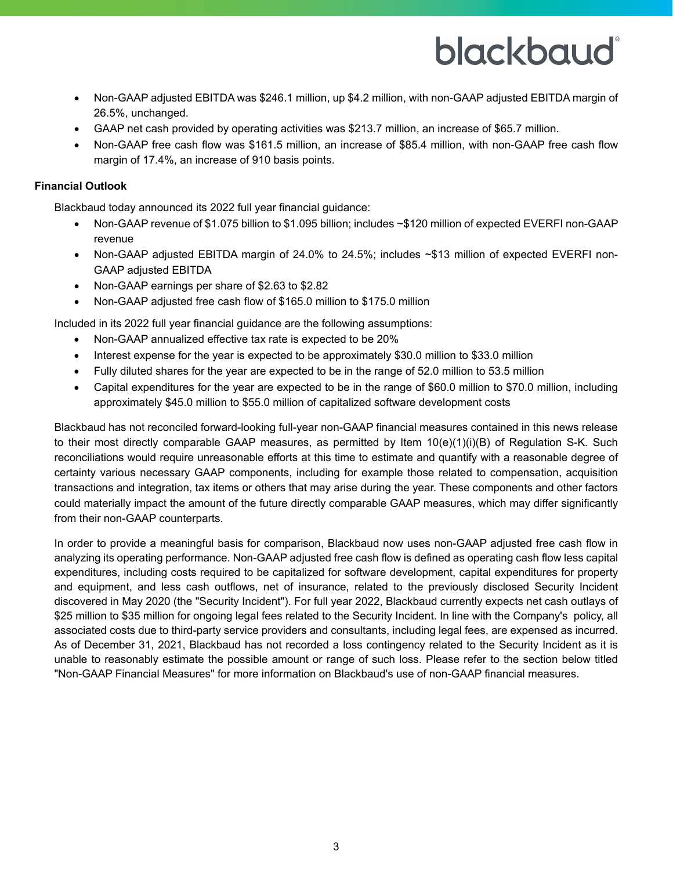- Non-GAAP adjusted EBITDA was \$246.1 million, up \$4.2 million, with non-GAAP adjusted EBITDA margin of 26.5%, unchanged.
- GAAP net cash provided by operating activities was \$213.7 million, an increase of \$65.7 million.
- Non-GAAP free cash flow was \$161.5 million, an increase of \$85.4 million, with non-GAAP free cash flow margin of 17.4%, an increase of 910 basis points.

#### **Financial Outlook**

Blackbaud today announced its 2022 full year financial guidance:

- Non-GAAP revenue of \$1.075 billion to \$1.095 billion; includes ~\$120 million of expected EVERFI non-GAAP revenue
- Non-GAAP adjusted EBITDA margin of 24.0% to 24.5%; includes ~\$13 million of expected EVERFI non-GAAP adjusted EBITDA
- Non-GAAP earnings per share of \$2.63 to \$2.82
- Non-GAAP adjusted free cash flow of \$165.0 million to \$175.0 million

Included in its 2022 full year financial guidance are the following assumptions:

- Non-GAAP annualized effective tax rate is expected to be 20%
- Interest expense for the year is expected to be approximately \$30.0 million to \$33.0 million
- Fully diluted shares for the year are expected to be in the range of 52.0 million to 53.5 million
- Capital expenditures for the year are expected to be in the range of \$60.0 million to \$70.0 million, including approximately \$45.0 million to \$55.0 million of capitalized software development costs

Blackbaud has not reconciled forward-looking full-year non-GAAP financial measures contained in this news release to their most directly comparable GAAP measures, as permitted by Item 10(e)(1)(i)(B) of Regulation S-K. Such reconciliations would require unreasonable efforts at this time to estimate and quantify with a reasonable degree of certainty various necessary GAAP components, including for example those related to compensation, acquisition transactions and integration, tax items or others that may arise during the year. These components and other factors could materially impact the amount of the future directly comparable GAAP measures, which may differ significantly from their non-GAAP counterparts.

In order to provide a meaningful basis for comparison, Blackbaud now uses non-GAAP adjusted free cash flow in analyzing its operating performance. Non-GAAP adjusted free cash flow is defined as operating cash flow less capital expenditures, including costs required to be capitalized for software development, capital expenditures for property and equipment, and less cash outflows, net of insurance, related to the previously disclosed Security Incident discovered in May 2020 (the "Security Incident"). For full year 2022, Blackbaud currently expects net cash outlays of \$25 million to \$35 million for ongoing legal fees related to the Security Incident. In line with the Company's policy, all associated costs due to third-party service providers and consultants, including legal fees, are expensed as incurred. As of December 31, 2021, Blackbaud has not recorded a loss contingency related to the Security Incident as it is unable to reasonably estimate the possible amount or range of such loss. Please refer to the section below titled "Non-GAAP Financial Measures" for more information on Blackbaud's use of non-GAAP financial measures.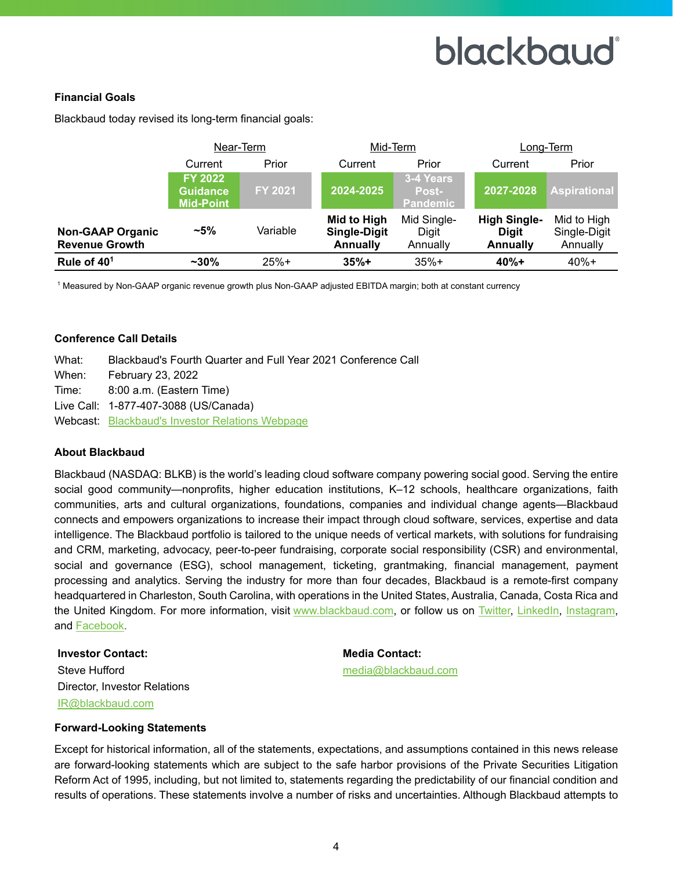#### **Financial Goals**

|                                                  | Near-Term                                             |          | Mid-Term                                              |                                              | Long-Term                                       |                                         |  |  |  |
|--------------------------------------------------|-------------------------------------------------------|----------|-------------------------------------------------------|----------------------------------------------|-------------------------------------------------|-----------------------------------------|--|--|--|
|                                                  | Current                                               | Prior    | Current                                               | Prior                                        | Current                                         | Prior                                   |  |  |  |
|                                                  | <b>FY 2022</b><br><b>Guidance</b><br><b>Mid-Point</b> | FY 2021  | 2024-2025                                             | 3-4 Years<br><b>Post-</b><br><b>Pandemic</b> | 2027-2028                                       | <b>Aspirational</b>                     |  |  |  |
| <b>Non-GAAP Organic</b><br><b>Revenue Growth</b> | $~15\%$                                               | Variable | Mid to High<br><b>Single-Digit</b><br><b>Annually</b> | Mid Single-<br>Digit<br>Annually             | <b>High Single-</b><br><b>Digit</b><br>Annually | Mid to High<br>Single-Digit<br>Annually |  |  |  |
| Rule of 40 <sup>1</sup>                          | $~1$ - 30%                                            | $25%+$   | $35%+$                                                | $35%+$                                       | $40% +$                                         | $40% +$                                 |  |  |  |

Blackbaud today revised its long-term financial goals:

1 Measured by Non-GAAP organic revenue growth plus Non-GAAP adjusted EBITDA margin; both at constant currency

#### **Conference Call Details**

| Blackbaud's Fourth Quarter and Full Year 2021 Conference Call |
|---------------------------------------------------------------|
| <b>February 23, 2022</b>                                      |
| 8:00 a.m. (Eastern Time)                                      |
| Live Call: 1-877-407-3088 (US/Canada)                         |
| <b>Webcast: Blackbaud's Investor Relations Webpage</b>        |
|                                                               |

#### **About Blackbaud**

Blackbaud (NASDAQ: BLKB) is the world's leading cloud software company powering social good. Serving the entire social good community—nonprofits, higher education institutions, K–12 schools, healthcare organizations, faith communities, arts and cultural organizations, foundations, companies and individual change agents—Blackbaud connects and empowers organizations to increase their impact through cloud software, services, expertise and data intelligence. The Blackbaud portfolio is tailored to the unique needs of vertical markets, with solutions for fundraising and CRM, marketing, advocacy, peer-to-peer fundraising, corporate social responsibility (CSR) and environmental, social and governance (ESG), school management, ticketing, grantmaking, financial management, payment processing and analytics. Serving the industry for more than four decades, Blackbaud is a remote-first company headquartered in Charleston, South Carolina, with operations in the United States, Australia, Canada, Costa Rica and the United Kingdom. For more information, visit [www.blackbaud.com,](http://www.blackbaud.com/) or follow us on [Twitter,](https://twitter.com/blackbaud) [LinkedIn,](https://www.linkedin.com/company/blackbaud/) [Instagram,](https://www.instagram.com/blackbaud/) and [Facebook.](https://www.facebook.com/blackbaud/)

**Investor Contact: Media Contact: Media Contact:** Steve Hufford [media@blackbaud.com](mailto:media@blackbaud.com) Director, Investor Relations [IR@blackbaud.com](mailto:IR@blackbaud.com)

#### **Forward-Looking Statements**

Except for historical information, all of the statements, expectations, and assumptions contained in this news release are forward-looking statements which are subject to the safe harbor provisions of the Private Securities Litigation Reform Act of 1995, including, but not limited to, statements regarding the predictability of our financial condition and results of operations. These statements involve a number of risks and uncertainties. Although Blackbaud attempts to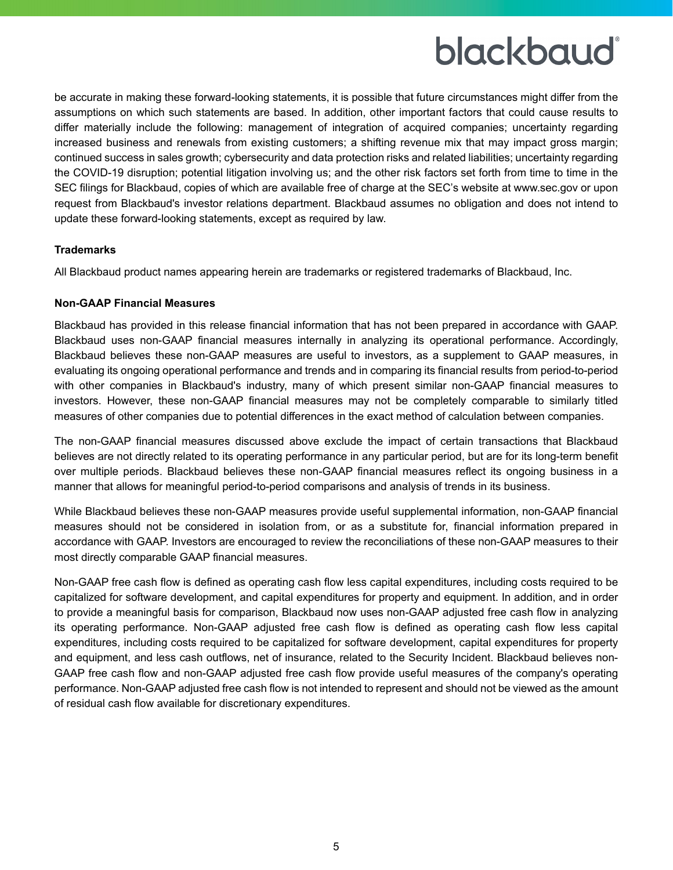be accurate in making these forward-looking statements, it is possible that future circumstances might differ from the assumptions on which such statements are based. In addition, other important factors that could cause results to differ materially include the following: management of integration of acquired companies; uncertainty regarding increased business and renewals from existing customers; a shifting revenue mix that may impact gross margin; continued success in sales growth; cybersecurity and data protection risks and related liabilities; uncertainty regarding the COVID-19 disruption; potential litigation involving us; and the other risk factors set forth from time to time in the SEC filings for Blackbaud, copies of which are available free of charge at the SEC's website at www.sec.gov or upon request from Blackbaud's investor relations department. Blackbaud assumes no obligation and does not intend to update these forward-looking statements, except as required by law.

#### **Trademarks**

All Blackbaud product names appearing herein are trademarks or registered trademarks of Blackbaud, Inc.

#### **Non-GAAP Financial Measures**

Blackbaud has provided in this release financial information that has not been prepared in accordance with GAAP. Blackbaud uses non-GAAP financial measures internally in analyzing its operational performance. Accordingly, Blackbaud believes these non-GAAP measures are useful to investors, as a supplement to GAAP measures, in evaluating its ongoing operational performance and trends and in comparing its financial results from period-to-period with other companies in Blackbaud's industry, many of which present similar non-GAAP financial measures to investors. However, these non-GAAP financial measures may not be completely comparable to similarly titled measures of other companies due to potential differences in the exact method of calculation between companies.

The non-GAAP financial measures discussed above exclude the impact of certain transactions that Blackbaud believes are not directly related to its operating performance in any particular period, but are for its long-term benefit over multiple periods. Blackbaud believes these non-GAAP financial measures reflect its ongoing business in a manner that allows for meaningful period-to-period comparisons and analysis of trends in its business.

While Blackbaud believes these non-GAAP measures provide useful supplemental information, non-GAAP financial measures should not be considered in isolation from, or as a substitute for, financial information prepared in accordance with GAAP. Investors are encouraged to review the reconciliations of these non-GAAP measures to their most directly comparable GAAP financial measures.

Non-GAAP free cash flow is defined as operating cash flow less capital expenditures, including costs required to be capitalized for software development, and capital expenditures for property and equipment. In addition, and in order to provide a meaningful basis for comparison, Blackbaud now uses non-GAAP adjusted free cash flow in analyzing its operating performance. Non-GAAP adjusted free cash flow is defined as operating cash flow less capital expenditures, including costs required to be capitalized for software development, capital expenditures for property and equipment, and less cash outflows, net of insurance, related to the Security Incident. Blackbaud believes non-GAAP free cash flow and non-GAAP adjusted free cash flow provide useful measures of the company's operating performance. Non-GAAP adjusted free cash flow is not intended to represent and should not be viewed as the amount of residual cash flow available for discretionary expenditures.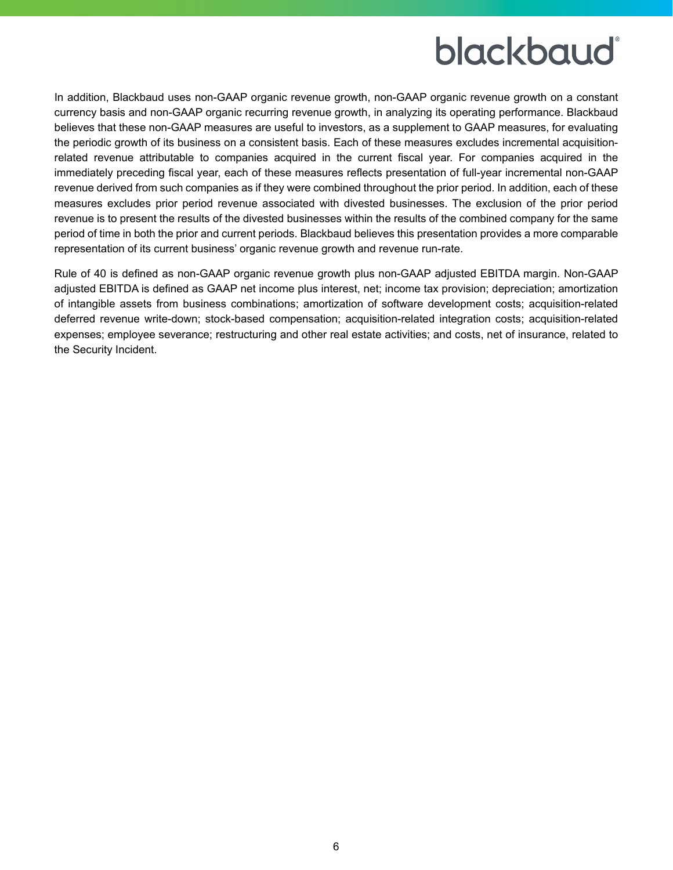In addition, Blackbaud uses non-GAAP organic revenue growth, non-GAAP organic revenue growth on a constant currency basis and non-GAAP organic recurring revenue growth, in analyzing its operating performance. Blackbaud believes that these non-GAAP measures are useful to investors, as a supplement to GAAP measures, for evaluating the periodic growth of its business on a consistent basis. Each of these measures excludes incremental acquisitionrelated revenue attributable to companies acquired in the current fiscal year. For companies acquired in the immediately preceding fiscal year, each of these measures reflects presentation of full-year incremental non-GAAP revenue derived from such companies as if they were combined throughout the prior period. In addition, each of these measures excludes prior period revenue associated with divested businesses. The exclusion of the prior period revenue is to present the results of the divested businesses within the results of the combined company for the same period of time in both the prior and current periods. Blackbaud believes this presentation provides a more comparable representation of its current business' organic revenue growth and revenue run-rate.

Rule of 40 is defined as non-GAAP organic revenue growth plus non-GAAP adjusted EBITDA margin. Non-GAAP adjusted EBITDA is defined as GAAP net income plus interest, net; income tax provision; depreciation; amortization of intangible assets from business combinations; amortization of software development costs; acquisition-related deferred revenue write-down; stock-based compensation; acquisition-related integration costs; acquisition-related expenses; employee severance; restructuring and other real estate activities; and costs, net of insurance, related to the Security Incident.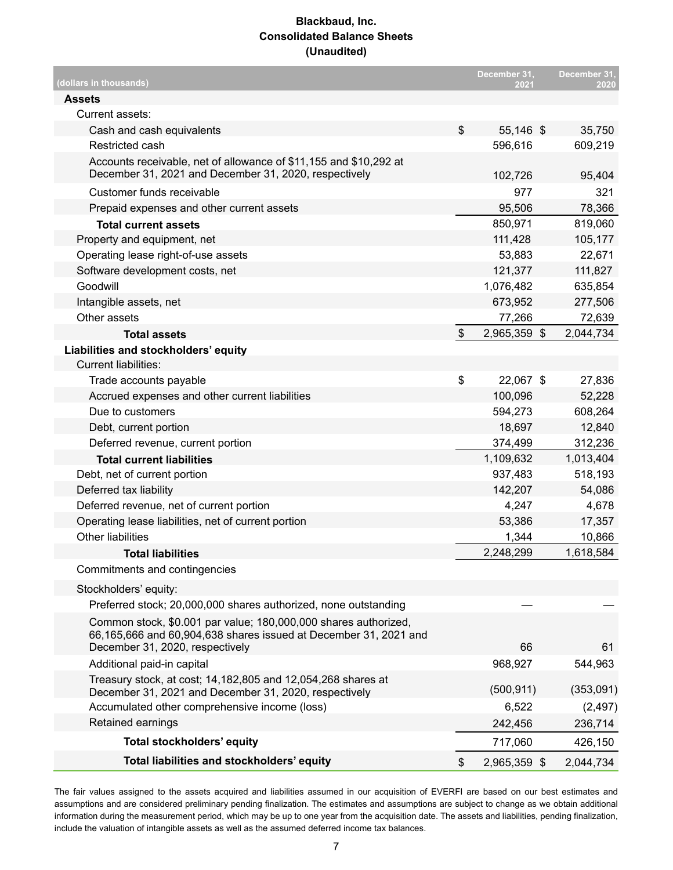#### **Blackbaud, Inc. Consolidated Balance Sheets (Unaudited)**

| (dollars in thousands)                                                                                                     |                           | December 31,<br>2021 | December 31,<br>2020 |
|----------------------------------------------------------------------------------------------------------------------------|---------------------------|----------------------|----------------------|
| <b>Assets</b>                                                                                                              |                           |                      |                      |
| Current assets:                                                                                                            |                           |                      |                      |
| Cash and cash equivalents                                                                                                  | \$                        | 55,146 \$            | 35,750               |
| Restricted cash                                                                                                            |                           | 596,616              | 609,219              |
| Accounts receivable, net of allowance of \$11,155 and \$10,292 at<br>December 31, 2021 and December 31, 2020, respectively |                           | 102,726              | 95,404               |
| Customer funds receivable                                                                                                  |                           | 977                  | 321                  |
| Prepaid expenses and other current assets                                                                                  |                           | 95,506               | 78,366               |
| <b>Total current assets</b>                                                                                                |                           | 850,971              | 819,060              |
| Property and equipment, net                                                                                                |                           | 111,428              | 105,177              |
| Operating lease right-of-use assets                                                                                        |                           | 53,883               | 22,671               |
| Software development costs, net                                                                                            |                           | 121,377              | 111,827              |
| Goodwill                                                                                                                   |                           | 1,076,482            | 635,854              |
| Intangible assets, net                                                                                                     |                           | 673,952              | 277,506              |
| Other assets                                                                                                               |                           | 77,266               | 72,639               |
| <b>Total assets</b>                                                                                                        | $\boldsymbol{\mathsf{S}}$ | 2,965,359 \$         | 2,044,734            |
| Liabilities and stockholders' equity                                                                                       |                           |                      |                      |
| Current liabilities:                                                                                                       |                           |                      |                      |
| Trade accounts payable                                                                                                     | \$                        | 22,067 \$            | 27,836               |
| Accrued expenses and other current liabilities                                                                             |                           | 100,096              | 52,228               |
| Due to customers                                                                                                           |                           | 594,273              | 608,264              |
| Debt, current portion                                                                                                      |                           | 18,697               | 12,840               |
| Deferred revenue, current portion                                                                                          |                           | 374,499              | 312,236              |
| <b>Total current liabilities</b>                                                                                           |                           | 1,109,632            | 1,013,404            |
| Debt, net of current portion                                                                                               |                           | 937,483              | 518,193              |
| Deferred tax liability                                                                                                     |                           | 142,207              | 54,086               |
| Deferred revenue, net of current portion                                                                                   |                           | 4,247                | 4,678                |
| Operating lease liabilities, net of current portion                                                                        |                           | 53,386               | 17,357               |
| <b>Other liabilities</b>                                                                                                   |                           | 1,344                | 10,866               |
| <b>Total liabilities</b>                                                                                                   |                           | 2,248,299            | 1,618,584            |
| Commitments and contingencies                                                                                              |                           |                      |                      |
| Stockholders' equity:                                                                                                      |                           |                      |                      |
| Preferred stock; 20,000,000 shares authorized, none outstanding                                                            |                           |                      |                      |
| Common stock, \$0.001 par value; 180,000,000 shares authorized,                                                            |                           |                      |                      |
| 66,165,666 and 60,904,638 shares issued at December 31, 2021 and<br>December 31, 2020, respectively                        |                           | 66                   | 61                   |
| Additional paid-in capital                                                                                                 |                           | 968,927              | 544,963              |
| Treasury stock, at cost; 14,182,805 and 12,054,268 shares at                                                               |                           |                      |                      |
| December 31, 2021 and December 31, 2020, respectively                                                                      |                           | (500, 911)           | (353,091)            |
| Accumulated other comprehensive income (loss)                                                                              |                           | 6,522                | (2, 497)             |
| Retained earnings                                                                                                          |                           | 242,456              | 236,714              |
| Total stockholders' equity                                                                                                 |                           | 717,060              | 426,150              |
| Total liabilities and stockholders' equity                                                                                 | \$                        | 2,965,359 \$         | 2,044,734            |

The fair values assigned to the assets acquired and liabilities assumed in our acquisition of EVERFI are based on our best estimates and assumptions and are considered preliminary pending finalization. The estimates and assumptions are subject to change as we obtain additional information during the measurement period, which may be up to one year from the acquisition date. The assets and liabilities, pending finalization, include the valuation of intangible assets as well as the assumed deferred income tax balances.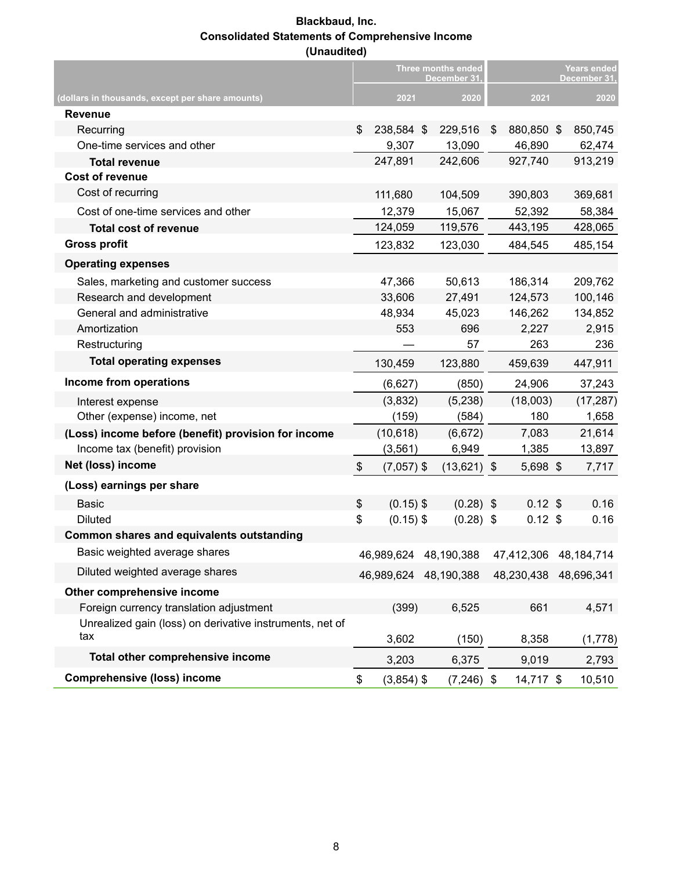#### **Blackbaud, Inc. Consolidated Statements of Comprehensive Income (Unaudited)**

|                                                          | <b>Three months ended</b><br>December 31, |                       |  | <b>Years ended</b><br>December 31, |     |                       |     |           |
|----------------------------------------------------------|-------------------------------------------|-----------------------|--|------------------------------------|-----|-----------------------|-----|-----------|
| (dollars in thousands, except per share amounts)         |                                           | 2021                  |  | 2020                               |     | 2021                  |     | 2020      |
| <b>Revenue</b>                                           |                                           |                       |  |                                    |     |                       |     |           |
| Recurring                                                | \$                                        | 238,584 \$            |  | 229,516                            | \$  | 880,850 \$            |     | 850,745   |
| One-time services and other                              |                                           | 9,307                 |  | 13,090                             |     | 46,890                |     | 62,474    |
| <b>Total revenue</b>                                     |                                           | 247,891               |  | 242,606                            |     | 927,740               |     | 913,219   |
| <b>Cost of revenue</b>                                   |                                           |                       |  |                                    |     |                       |     |           |
| Cost of recurring                                        |                                           | 111,680               |  | 104,509                            |     | 390,803               |     | 369,681   |
| Cost of one-time services and other                      |                                           | 12,379                |  | 15,067                             |     | 52,392                |     | 58,384    |
| <b>Total cost of revenue</b>                             |                                           | 124,059               |  | 119,576                            |     | 443,195               |     | 428,065   |
| <b>Gross profit</b>                                      |                                           | 123,832               |  | 123,030                            |     | 484,545               |     | 485,154   |
| <b>Operating expenses</b>                                |                                           |                       |  |                                    |     |                       |     |           |
| Sales, marketing and customer success                    |                                           | 47,366                |  | 50,613                             |     | 186,314               |     | 209,762   |
| Research and development                                 |                                           | 33,606                |  | 27,491                             |     | 124,573               |     | 100,146   |
| General and administrative                               |                                           | 48,934                |  | 45,023                             |     | 146,262               |     | 134,852   |
| Amortization                                             |                                           | 553                   |  | 696                                |     | 2,227                 |     | 2,915     |
| Restructuring                                            |                                           | 57                    |  |                                    | 263 |                       | 236 |           |
| <b>Total operating expenses</b>                          |                                           | 130,459               |  | 123,880                            |     | 459,639               |     | 447,911   |
| Income from operations                                   |                                           | (6,627)               |  | (850)                              |     | 24,906                |     | 37,243    |
| Interest expense                                         |                                           | (3,832)               |  | (5,238)                            |     | (18,003)              |     | (17, 287) |
| Other (expense) income, net                              |                                           | (159)                 |  | (584)                              |     | 180                   |     | 1,658     |
| (Loss) income before (benefit) provision for income      |                                           | (10, 618)             |  | (6,672)                            |     | 7,083                 |     | 21,614    |
| Income tax (benefit) provision                           |                                           | (3, 561)              |  | 6,949                              |     | 1,385                 |     | 13,897    |
| Net (loss) income                                        | \$                                        | $(7,057)$ \$          |  | $(13,621)$ \$                      |     | 5,698 \$              |     | 7,717     |
| (Loss) earnings per share                                |                                           |                       |  |                                    |     |                       |     |           |
| <b>Basic</b>                                             | \$                                        | $(0.15)$ \$           |  | $(0.28)$ \$                        |     | $0.12$ \$             |     | 0.16      |
| <b>Diluted</b>                                           | \$                                        | $(0.15)$ \$           |  | $(0.28)$ \$                        |     | $0.12$ \$             |     | 0.16      |
| Common shares and equivalents outstanding                |                                           |                       |  |                                    |     |                       |     |           |
| Basic weighted average shares                            |                                           | 46,989,624 48,190,388 |  |                                    |     | 47,412,306 48,184,714 |     |           |
| Diluted weighted average shares                          |                                           | 46,989,624 48,190,388 |  |                                    |     | 48,230,438 48,696,341 |     |           |
| Other comprehensive income                               |                                           |                       |  |                                    |     |                       |     |           |
| Foreign currency translation adjustment                  |                                           | (399)                 |  | 6,525                              |     | 661                   |     | 4,571     |
| Unrealized gain (loss) on derivative instruments, net of |                                           |                       |  |                                    |     |                       |     |           |
| tax                                                      |                                           | 3,602                 |  | (150)                              |     | 8,358                 |     | (1,778)   |
| Total other comprehensive income                         |                                           | 3,203                 |  | 6,375                              |     | 9,019                 |     | 2,793     |
| <b>Comprehensive (loss) income</b>                       | \$                                        | $(3,854)$ \$          |  | $(7,246)$ \$                       |     | 14,717 \$             |     | 10,510    |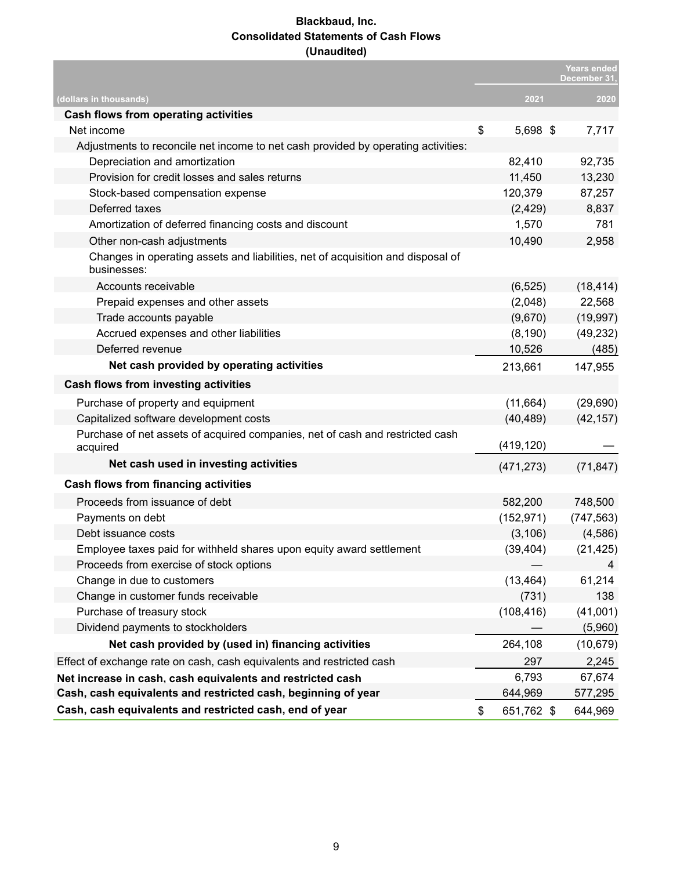#### **Blackbaud, Inc. Consolidated Statements of Cash Flows (Unaudited)**

|                                                                                                |                  | <b>Years ended</b><br>December 31. |
|------------------------------------------------------------------------------------------------|------------------|------------------------------------|
| (dollars in thousands)                                                                         | 2021             | 2020                               |
| Cash flows from operating activities                                                           |                  |                                    |
| Net income                                                                                     | \$<br>5,698 \$   | 7,717                              |
| Adjustments to reconcile net income to net cash provided by operating activities:              |                  |                                    |
| Depreciation and amortization                                                                  | 82,410           | 92,735                             |
| Provision for credit losses and sales returns                                                  | 11,450           | 13,230                             |
| Stock-based compensation expense                                                               | 120,379          | 87,257                             |
| Deferred taxes                                                                                 | (2, 429)         | 8,837                              |
| Amortization of deferred financing costs and discount                                          | 1,570            | 781                                |
| Other non-cash adjustments                                                                     | 10,490           | 2,958                              |
| Changes in operating assets and liabilities, net of acquisition and disposal of<br>businesses: |                  |                                    |
| Accounts receivable                                                                            | (6, 525)         | (18, 414)                          |
| Prepaid expenses and other assets                                                              | (2,048)          | 22,568                             |
| Trade accounts payable                                                                         | (9,670)          | (19, 997)                          |
| Accrued expenses and other liabilities                                                         | (8, 190)         | (49, 232)                          |
| Deferred revenue                                                                               | 10,526           | (485)                              |
| Net cash provided by operating activities                                                      | 213,661          | 147,955                            |
| Cash flows from investing activities                                                           |                  |                                    |
| Purchase of property and equipment                                                             | (11, 664)        | (29, 690)                          |
| Capitalized software development costs                                                         | (40, 489)        | (42, 157)                          |
| Purchase of net assets of acquired companies, net of cash and restricted cash<br>acquired      | (419, 120)       |                                    |
| Net cash used in investing activities                                                          | (471, 273)       | (71, 847)                          |
| <b>Cash flows from financing activities</b>                                                    |                  |                                    |
| Proceeds from issuance of debt                                                                 | 582,200          | 748,500                            |
| Payments on debt                                                                               | (152, 971)       | (747, 563)                         |
| Debt issuance costs                                                                            | (3, 106)         | (4,586)                            |
| Employee taxes paid for withheld shares upon equity award settlement                           | (39, 404)        | (21, 425)                          |
| Proceeds from exercise of stock options                                                        |                  | 4                                  |
| Change in due to customers                                                                     | (13, 464)        | 61,214                             |
| Change in customer funds receivable                                                            | (731)            | 138                                |
| Purchase of treasury stock                                                                     | (108, 416)       | (41,001)                           |
| Dividend payments to stockholders                                                              |                  | (5,960)                            |
| Net cash provided by (used in) financing activities                                            | 264,108          | (10, 679)                          |
| Effect of exchange rate on cash, cash equivalents and restricted cash                          | 297              | 2,245                              |
| Net increase in cash, cash equivalents and restricted cash                                     | 6,793            | 67,674                             |
| Cash, cash equivalents and restricted cash, beginning of year                                  | 644,969          | 577,295                            |
| Cash, cash equivalents and restricted cash, end of year                                        | \$<br>651,762 \$ | 644,969                            |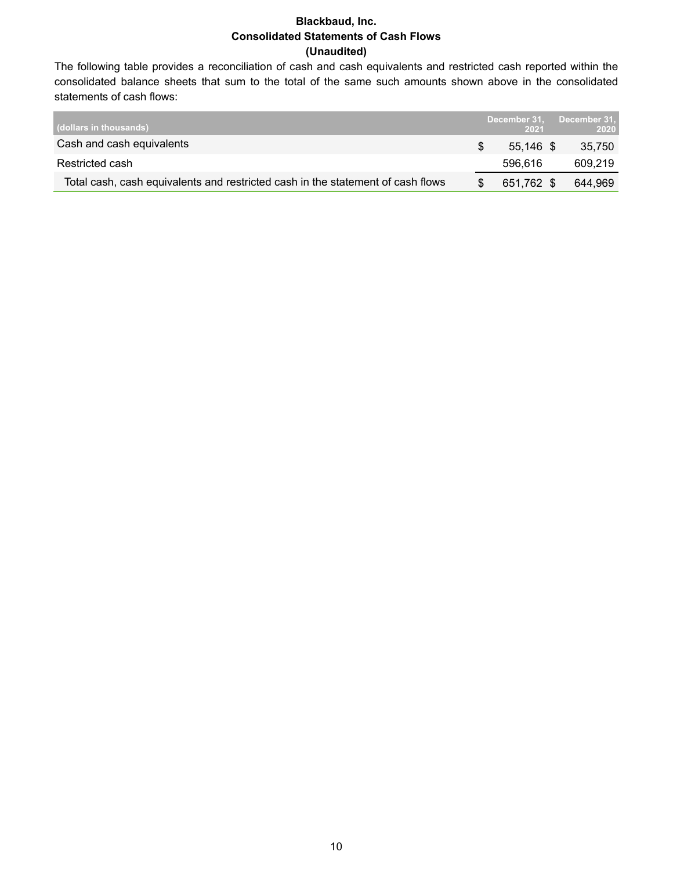#### **Blackbaud, Inc. Consolidated Statements of Cash Flows (Unaudited)**

The following table provides a reconciliation of cash and cash equivalents and restricted cash reported within the consolidated balance sheets that sum to the total of the same such amounts shown above in the consolidated statements of cash flows:

| (dollars in thousands)                                                          | December 31.<br>2021 | December 31,<br>2020 |
|---------------------------------------------------------------------------------|----------------------|----------------------|
| Cash and cash equivalents                                                       | $55.146$ \$          | 35.750               |
| Restricted cash                                                                 | 596.616              | 609.219              |
| Total cash, cash equivalents and restricted cash in the statement of cash flows | 651,762 \$           | 644.969              |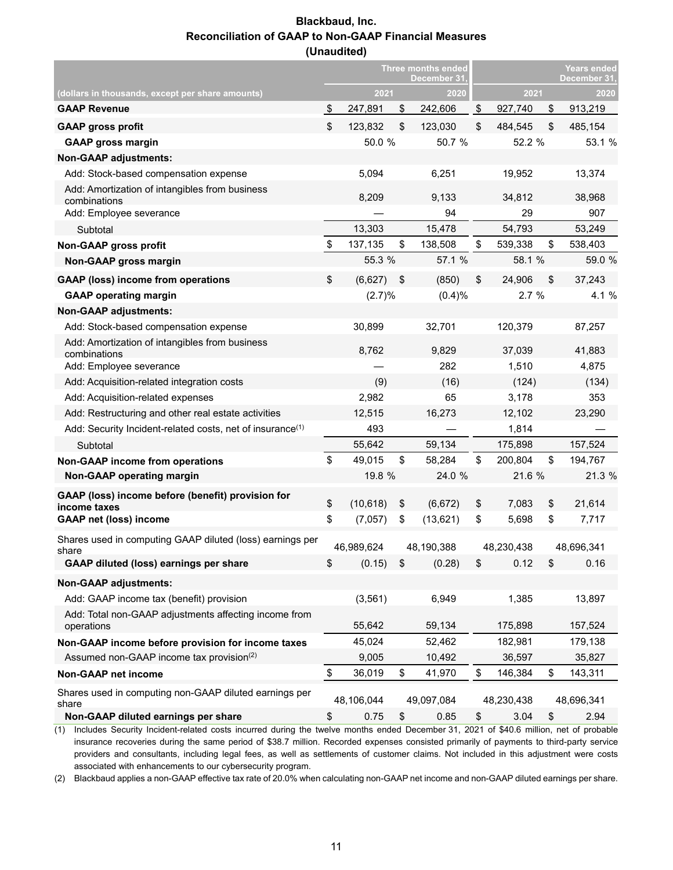#### **Blackbaud, Inc. Reconciliation of GAAP to Non-GAAP Financial Measures (Unaudited)**

|                                                                       |                 | <b>Three months ended</b><br>December 31, |        | <b>Years ended</b><br>December 31, |    |            |  |
|-----------------------------------------------------------------------|-----------------|-------------------------------------------|--------|------------------------------------|----|------------|--|
| (dollars in thousands, except per share amounts)                      | 2021            | 2020                                      |        | 2021                               |    | 2020       |  |
| <b>GAAP Revenue</b>                                                   | \$<br>247,891   | \$<br>242,606                             | \$     | 927,740                            | \$ | 913,219    |  |
| <b>GAAP gross profit</b>                                              | \$<br>123,832   | \$<br>123,030                             | \$     | 484,545                            | \$ | 485,154    |  |
| <b>GAAP gross margin</b>                                              | 50.0 %          | 50.7 %                                    |        | 52.2 %                             |    | 53.1 %     |  |
| <b>Non-GAAP adjustments:</b>                                          |                 |                                           |        |                                    |    |            |  |
| Add: Stock-based compensation expense                                 | 5,094           | 6,251                                     |        | 19,952                             |    | 13,374     |  |
| Add: Amortization of intangibles from business<br>combinations        | 8,209           | 9,133                                     |        | 34,812                             |    | 38,968     |  |
| Add: Employee severance                                               |                 | 94                                        |        | 29                                 |    | 907        |  |
| Subtotal                                                              | 13,303          | 15,478                                    |        | 54,793                             |    | 53,249     |  |
| Non-GAAP gross profit                                                 | \$<br>137,135   | \$<br>138,508                             | \$     | 539,338                            | \$ | 538,403    |  |
| Non-GAAP gross margin                                                 | 55.3 %          | 57.1 %                                    |        | 58.1 %                             |    | 59.0 %     |  |
| <b>GAAP (loss) income from operations</b>                             | \$<br>(6,627)   | \$<br>(850)                               | \$     | 24,906                             | \$ | 37,243     |  |
| <b>GAAP operating margin</b>                                          | (2.7)%          | (0.4)%                                    |        | 2.7%                               |    | 4.1 %      |  |
| <b>Non-GAAP adjustments:</b>                                          |                 |                                           |        |                                    |    |            |  |
| Add: Stock-based compensation expense                                 | 30,899          | 32,701                                    |        | 120,379                            |    | 87,257     |  |
| Add: Amortization of intangibles from business<br>combinations        | 8,762           | 9,829                                     |        | 37,039                             |    | 41,883     |  |
| Add: Employee severance                                               |                 | 282                                       |        | 1,510                              |    | 4,875      |  |
| Add: Acquisition-related integration costs                            | (9)             | (16)                                      |        | (124)                              |    | (134)      |  |
| Add: Acquisition-related expenses                                     | 2,982           | 65                                        |        | 3,178                              |    | 353        |  |
| Add: Restructuring and other real estate activities                   | 12,515          | 16,273                                    | 12,102 |                                    |    | 23,290     |  |
| Add: Security Incident-related costs, net of insurance <sup>(1)</sup> | 493             |                                           | 1,814  |                                    |    |            |  |
| Subtotal                                                              | 55,642          | 59,134                                    |        | 175,898                            |    | 157,524    |  |
| <b>Non-GAAP income from operations</b>                                | \$<br>49,015    | \$<br>58,284                              | \$     | 200,804                            | \$ | 194,767    |  |
| Non-GAAP operating margin                                             | 19.8 %          | 24.0 %                                    |        | 21.6 %                             |    | 21.3 %     |  |
| GAAP (loss) income before (benefit) provision for<br>income taxes     | \$<br>(10, 618) | \$<br>(6,672)                             | \$     | 7,083                              | \$ | 21,614     |  |
| <b>GAAP net (loss) income</b>                                         | \$<br>(7,057)   | \$<br>(13, 621)                           | \$     | 5,698                              | \$ | 7,717      |  |
| Shares used in computing GAAP diluted (loss) earnings per<br>share    | 46,989,624      | 48,190,388                                |        | 48,230,438                         |    | 48,696,341 |  |
| GAAP diluted (loss) earnings per share                                | \$<br>(0.15)    | \$<br>(0.28)                              | \$     | 0.12                               | \$ | 0.16       |  |
| <b>Non-GAAP adjustments:</b>                                          |                 |                                           |        |                                    |    |            |  |
| Add: GAAP income tax (benefit) provision                              | (3, 561)        | 6,949                                     |        | 1,385                              |    | 13,897     |  |
| Add: Total non-GAAP adjustments affecting income from                 |                 |                                           |        |                                    |    |            |  |
| operations                                                            | 55,642          | 59,134                                    |        | 175,898                            |    | 157,524    |  |
| Non-GAAP income before provision for income taxes                     | 45,024          | 52,462                                    |        | 182,981                            |    | 179,138    |  |
| Assumed non-GAAP income tax provision <sup>(2)</sup>                  | 9,005           | 10,492                                    |        | 36,597                             |    | 35,827     |  |
| Non-GAAP net income                                                   | \$<br>36,019    | \$<br>41,970                              | \$     | 146,384                            | \$ | 143,311    |  |
| Shares used in computing non-GAAP diluted earnings per<br>share       | 48,106,044      | 49,097,084                                |        | 48,230,438                         |    | 48,696,341 |  |
| Non-GAAP diluted earnings per share                                   | \$<br>0.75      | \$<br>0.85                                | \$     | 3.04                               | \$ | 2.94       |  |

(1) Includes Security Incident-related costs incurred during the twelve months ended December 31, 2021 of \$40.6 million, net of probable insurance recoveries during the same period of \$38.7 million. Recorded expenses consisted primarily of payments to third-party service providers and consultants, including legal fees, as well as settlements of customer claims. Not included in this adjustment were costs associated with enhancements to our cybersecurity program.

(2) Blackbaud applies a non-GAAP effective tax rate of 20.0% when calculating non-GAAP net income and non-GAAP diluted earnings per share.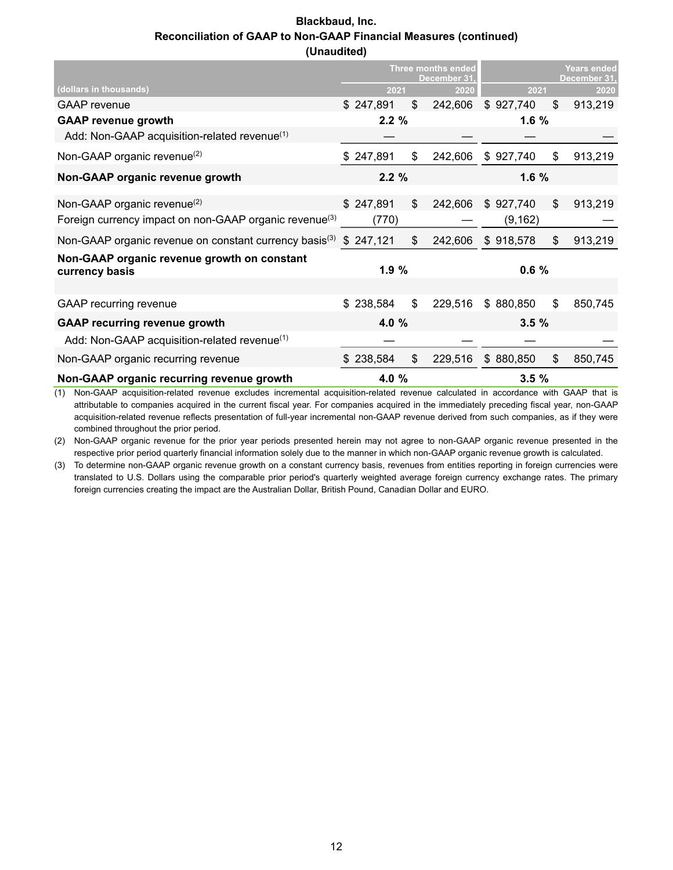#### **Blackbaud, Inc. Reconciliation of GAAP to Non-GAAP Financial Measures (continued) (Unaudited)**

|                                                                               | <b>Three months ended</b><br>December 31. |           |    | <b>Years ended</b><br>December 31. |           |    |         |
|-------------------------------------------------------------------------------|-------------------------------------------|-----------|----|------------------------------------|-----------|----|---------|
| (dollars in thousands)                                                        |                                           | 2021      |    | 2020                               | 2021      |    | 2020    |
| <b>GAAP</b> revenue                                                           |                                           | \$247,891 | \$ | 242,606                            | \$927,740 | \$ | 913,219 |
| <b>GAAP revenue growth</b>                                                    |                                           | 2.2%      |    |                                    | 1.6%      |    |         |
| Add: Non-GAAP acquisition-related revenue <sup>(1)</sup>                      |                                           |           |    |                                    |           |    |         |
| Non-GAAP organic revenue <sup>(2)</sup>                                       |                                           | \$247,891 | \$ | 242,606                            | \$927,740 | \$ | 913,219 |
| Non-GAAP organic revenue growth                                               |                                           | 2.2%      |    |                                    | 1.6%      |    |         |
| Non-GAAP organic revenue $^{(2)}$                                             |                                           | \$247,891 | \$ | 242,606                            | \$927,740 | \$ | 913,219 |
| Foreign currency impact on non-GAAP organic revenue <sup>(3)</sup>            |                                           | (770)     |    |                                    | (9, 162)  |    |         |
| Non-GAAP organic revenue on constant currency basis <sup>(3)</sup> $$247,121$ |                                           |           | \$ | 242,606                            | \$918,578 | \$ | 913,219 |
| Non-GAAP organic revenue growth on constant<br>currency basis                 |                                           | 1.9%      |    |                                    | 0.6%      |    |         |
|                                                                               |                                           |           |    |                                    |           |    |         |
| <b>GAAP</b> recurring revenue                                                 |                                           | \$238,584 | \$ | 229,516                            | \$880,850 | \$ | 850,745 |
| <b>GAAP recurring revenue growth</b>                                          |                                           | 4.0 %     |    |                                    | 3.5%      |    |         |
| Add: Non-GAAP acquisition-related revenue <sup>(1)</sup>                      |                                           |           |    |                                    |           |    |         |
| Non-GAAP organic recurring revenue                                            |                                           | 238,584   | \$ | 229,516                            | \$880,850 | \$ | 850,745 |
| Non-GAAP organic recurring revenue growth                                     |                                           | 4.0 %     |    |                                    | 3.5%      |    |         |

(1) Non-GAAP acquisition-related revenue excludes incremental acquisition-related revenue calculated in accordance with GAAP that is attributable to companies acquired in the current fiscal year. For companies acquired in the immediately preceding fiscal year, non-GAAP acquisition-related revenue reflects presentation of full-year incremental non-GAAP revenue derived from such companies, as if they were combined throughout the prior period.

(2) Non-GAAP organic revenue for the prior year periods presented herein may not agree to non-GAAP organic revenue presented in the respective prior period quarterly financial information solely due to the manner in which non-GAAP organic revenue growth is calculated.

(3) To determine non-GAAP organic revenue growth on a constant currency basis, revenues from entities reporting in foreign currencies were translated to U.S. Dollars using the comparable prior period's quarterly weighted average foreign currency exchange rates. The primary foreign currencies creating the impact are the Australian Dollar, British Pound, Canadian Dollar and EURO.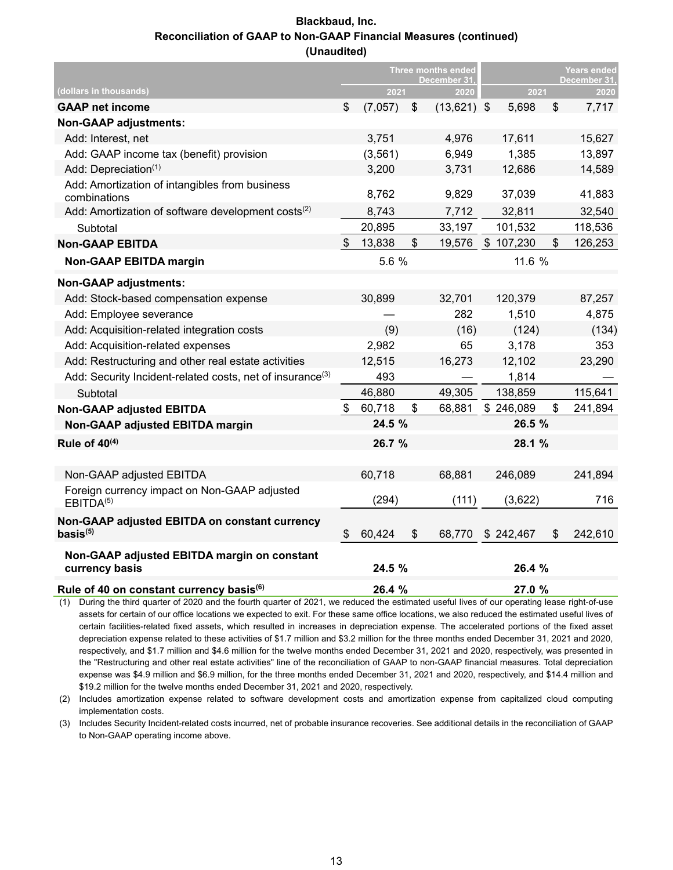#### **Blackbaud, Inc. Reconciliation of GAAP to Non-GAAP Financial Measures (continued) (Unaudited)**

|                                                                       | <b>Three months ended</b><br>December 31 |          |       |               | <b>Years ended</b><br>December 31. |           |    |         |
|-----------------------------------------------------------------------|------------------------------------------|----------|-------|---------------|------------------------------------|-----------|----|---------|
| (dollars in thousands)                                                |                                          | 2021     |       | 2020          |                                    | 2021      |    | 2020    |
| <b>GAAP net income</b>                                                | \$                                       | (7,057)  | \$    | $(13,621)$ \$ |                                    | 5,698     | \$ | 7,717   |
| <b>Non-GAAP adjustments:</b>                                          |                                          |          |       |               |                                    |           |    |         |
| Add: Interest, net                                                    |                                          | 3,751    |       | 4,976         |                                    | 17,611    |    | 15,627  |
| Add: GAAP income tax (benefit) provision                              |                                          | (3, 561) |       | 6,949         |                                    | 1,385     |    | 13,897  |
| Add: Depreciation(1)                                                  |                                          | 3,200    |       | 3,731         |                                    | 12,686    |    | 14,589  |
| Add: Amortization of intangibles from business<br>combinations        |                                          | 8,762    |       | 9,829         |                                    | 37,039    |    | 41,883  |
| Add: Amortization of software development costs <sup>(2)</sup>        |                                          | 8,743    |       | 7,712         |                                    | 32,811    |    | 32,540  |
| Subtotal                                                              |                                          | 20,895   |       | 33,197        |                                    | 101,532   |    | 118,536 |
| <b>Non-GAAP EBITDA</b>                                                | $\mathfrak{S}$                           | 13,838   | \$    | 19,576        |                                    | \$107,230 | \$ | 126,253 |
| <b>Non-GAAP EBITDA margin</b>                                         |                                          | 5.6 %    |       |               |                                    | 11.6 %    |    |         |
| <b>Non-GAAP adjustments:</b>                                          |                                          |          |       |               |                                    |           |    |         |
| Add: Stock-based compensation expense                                 |                                          | 30,899   |       | 32,701        |                                    | 120,379   |    | 87,257  |
| Add: Employee severance                                               |                                          |          |       | 282           |                                    | 1,510     |    | 4,875   |
| Add: Acquisition-related integration costs                            |                                          | (9)      |       | (16)          |                                    | (124)     |    | (134)   |
| Add: Acquisition-related expenses                                     |                                          | 2,982    |       | 65            |                                    | 3,178     |    | 353     |
| Add: Restructuring and other real estate activities                   |                                          | 12,515   |       | 16,273        |                                    | 12,102    |    | 23,290  |
| Add: Security Incident-related costs, net of insurance <sup>(3)</sup> |                                          | 493      |       |               |                                    | 1,814     |    |         |
| Subtotal                                                              |                                          | 46,880   |       | 49,305        |                                    | 138,859   |    | 115,641 |
| <b>Non-GAAP adjusted EBITDA</b>                                       | $\mathfrak{F}$                           | 60,718   | $\$\$ | 68,881        |                                    | \$246,089 | \$ | 241,894 |
| Non-GAAP adjusted EBITDA margin                                       |                                          | 24.5 %   |       |               |                                    | 26.5 %    |    |         |
| Rule of $40^{(4)}$                                                    |                                          | 26.7 %   |       |               |                                    | 28.1 %    |    |         |
|                                                                       |                                          |          |       |               |                                    |           |    |         |
| Non-GAAP adjusted EBITDA                                              |                                          | 60,718   |       | 68,881        |                                    | 246,089   |    | 241,894 |
| Foreign currency impact on Non-GAAP adjusted<br>EBITDA <sup>(5)</sup> |                                          | (294)    |       | (111)         |                                    | (3,622)   |    | 716     |
| Non-GAAP adjusted EBITDA on constant currency<br>basis(5)             | \$                                       | 60,424   | \$    | 68,770        |                                    | \$242,467 | \$ | 242,610 |
| Non-GAAP adjusted EBITDA margin on constant<br>currency basis         |                                          | 24.5 %   |       |               |                                    | 26.4 %    |    |         |
| Rule of 40 on constant currency basis <sup>(6)</sup>                  |                                          | 26.4 %   |       |               |                                    | 27.0 %    |    |         |

(1) During the third quarter of 2020 and the fourth quarter of 2021, we reduced the estimated useful lives of our operating lease right-of-use assets for certain of our office locations we expected to exit. For these same office locations, we also reduced the estimated useful lives of certain facilities-related fixed assets, which resulted in increases in depreciation expense. The accelerated portions of the fixed asset depreciation expense related to these activities of \$1.7 million and \$3.2 million for the three months ended December 31, 2021 and 2020, respectively, and \$1.7 million and \$4.6 million for the twelve months ended December 31, 2021 and 2020, respectively, was presented in the "Restructuring and other real estate activities" line of the reconciliation of GAAP to non-GAAP financial measures. Total depreciation expense was \$4.9 million and \$6.9 million, for the three months ended December 31, 2021 and 2020, respectively, and \$14.4 million and \$19.2 million for the twelve months ended December 31, 2021 and 2020, respectively.

(2) Includes amortization expense related to software development costs and amortization expense from capitalized cloud computing implementation costs.

(3) Includes Security Incident-related costs incurred, net of probable insurance recoveries. See additional details in the reconciliation of GAAP to Non-GAAP operating income above.